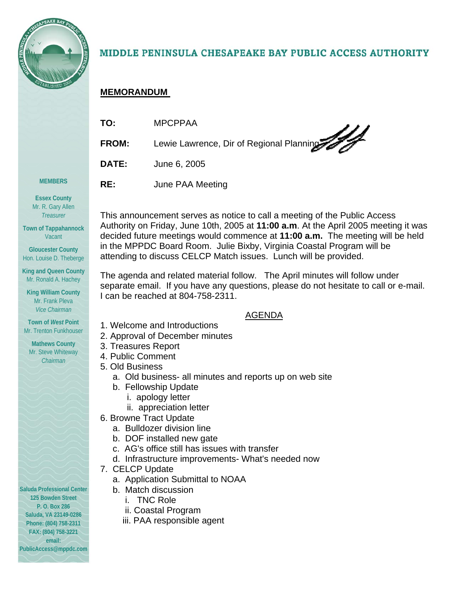

# MIDDLE PENINSULA CHESAPEAKE BAY PUBLIC ACCESS AUTHORITY

# **MEMORANDUM**

| TO:          | <b>MPCPPAA</b>                           |
|--------------|------------------------------------------|
| <b>FROM:</b> | Lewie Lawrence, Dir of Regional Planning |
| <b>DATE:</b> | June 6, 2005                             |
| RE:          | June PAA Meeting                         |

**Essex County**  Mr. R. Gary Allen *Treasurer* 

**MEMBERS** 

**Town of Tappahannock**  Vacant

**Gloucester County**  Hon. Louise D. Theberge

**King and Queen County**  Mr. Ronald A. Hachey

**King William County**  Mr. Frank Pleva *Vice Chairman* 

**Town of** *West* **Point**  Mr. Trenton Funkhouser

**Mathews County**  Mr. Steve Whiteway *Chairman* 

**Saluda Professional Center 125 Bowden Street P. O. Box 286 Saluda, VA 23149-0286 Phone: (804) 758-2311 FAX: (804) 758-3221 email: PublicAccess@mppdc.com** 

This announcement serves as notice to call a meeting of the Public Access Authority on Friday, June 10th, 2005 at **11:00 a.m**. At the April 2005 meeting it was decided future meetings would commence at **11:00 a.m.** The meeting will be held in the MPPDC Board Room. Julie Bixby, Virginia Coastal Program will be attending to discuss CELCP Match issues. Lunch will be provided.

The agenda and related material follow. The April minutes will follow under separate email. If you have any questions, please do not hesitate to call or e-mail. I can be reached at 804-758-2311.

## AGENDA

- 1. Welcome and Introductions
- 2. Approval of December minutes
- 3. Treasures Report
- 4. Public Comment
- 5. Old Business
	- a. Old business- all minutes and reports up on web site
	- b. Fellowship Update
		- i. apology letter
		- ii. appreciation letter
- 6. Browne Tract Update
	- a. Bulldozer division line
	- b. DOF installed new gate
	- c. AG's office still has issues with transfer
	- d. Infrastructure improvements- What's needed now
- 7. CELCP Update
	- a. Application Submittal to NOAA
	- b. Match discussion
		- i. TNC Role
		- ii. Coastal Program
		- iii. PAA responsible agent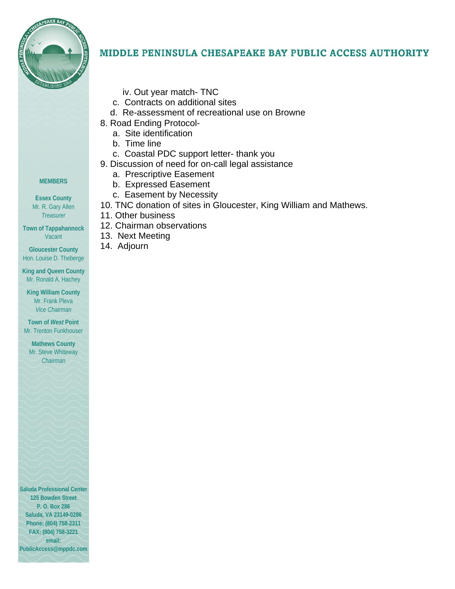

# MIDDLE PENINSULA CHESAPEAKE BAY PUBLIC ACCESS AUTHORITY

- iv. Out year match- TNC
- c. Contracts on additional sites
- d. Re-assessment of recreational use on Browne
- 8. Road Ending Protocol
	- a. Site identification
	- b. Time line
	- c. Coastal PDC support letter- thank you
- 9. Discussion of need for on-call legal assistance
	- a. Prescriptive Easement
	- b. Expressed Easement
	- c. Easement by Necessity
- 10. TNC donation of sites in Gloucester, King William and Mathews.
- 11. Other business
- 12. Chairman observations
- 13. Next Meeting
- 14. Adjourn

#### **MEMBERS**

**Essex County**  Mr. R. Gary Allen *Treasurer* 

**Town of Tappahannock**  Vacant

**Gloucester County**  Hon. Louise D. Theberge

**King and Queen County**  Mr. Ronald A. Hachey

**King William County**  Mr. Frank Pleva *Vice Chairman* 

**Town of** *West* **Point**  Mr. Trenton Funkhouser

**Mathews County**  Mr. Steve Whiteway *Chairman* 

**Saluda Professional Center 125 Bowden Street P. O. Box 286 Saluda, VA 23149-0286 Phone: (804) 758-2311 FAX: (804) 758-3221 email: PublicAccess@mppdc.com**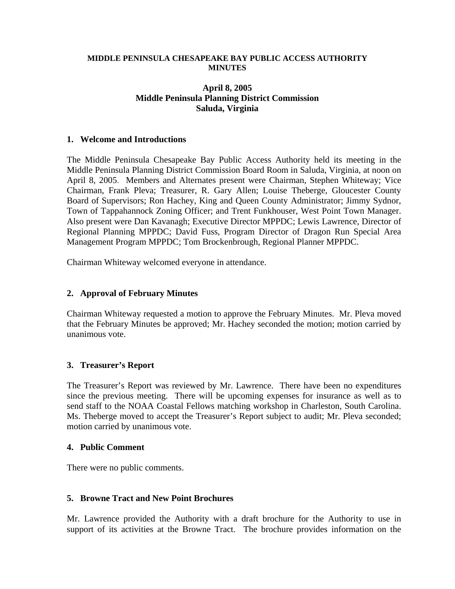#### **MIDDLE PENINSULA CHESAPEAKE BAY PUBLIC ACCESS AUTHORITY MINUTES**

### **April 8, 2005 Middle Peninsula Planning District Commission Saluda, Virginia**

#### **1. Welcome and Introductions**

The Middle Peninsula Chesapeake Bay Public Access Authority held its meeting in the Middle Peninsula Planning District Commission Board Room in Saluda, Virginia, at noon on April 8, 2005. Members and Alternates present were Chairman, Stephen Whiteway; Vice Chairman, Frank Pleva; Treasurer, R. Gary Allen; Louise Theberge, Gloucester County Board of Supervisors; Ron Hachey, King and Queen County Administrator; Jimmy Sydnor, Town of Tappahannock Zoning Officer; and Trent Funkhouser, West Point Town Manager. Also present were Dan Kavanagh; Executive Director MPPDC; Lewis Lawrence, Director of Regional Planning MPPDC; David Fuss, Program Director of Dragon Run Special Area Management Program MPPDC; Tom Brockenbrough, Regional Planner MPPDC.

Chairman Whiteway welcomed everyone in attendance.

#### **2. Approval of February Minutes**

Chairman Whiteway requested a motion to approve the February Minutes. Mr. Pleva moved that the February Minutes be approved; Mr. Hachey seconded the motion; motion carried by unanimous vote.

### **3. Treasurer's Report**

The Treasurer's Report was reviewed by Mr. Lawrence. There have been no expenditures since the previous meeting. There will be upcoming expenses for insurance as well as to send staff to the NOAA Coastal Fellows matching workshop in Charleston, South Carolina. Ms. Theberge moved to accept the Treasurer's Report subject to audit; Mr. Pleva seconded; motion carried by unanimous vote.

#### **4. Public Comment**

There were no public comments.

### **5. Browne Tract and New Point Brochures**

Mr. Lawrence provided the Authority with a draft brochure for the Authority to use in support of its activities at the Browne Tract. The brochure provides information on the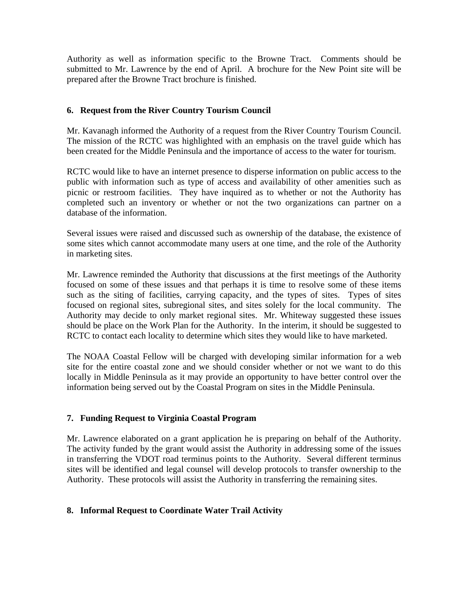Authority as well as information specific to the Browne Tract. Comments should be submitted to Mr. Lawrence by the end of April. A brochure for the New Point site will be prepared after the Browne Tract brochure is finished.

## **6. Request from the River Country Tourism Council**

Mr. Kavanagh informed the Authority of a request from the River Country Tourism Council. The mission of the RCTC was highlighted with an emphasis on the travel guide which has been created for the Middle Peninsula and the importance of access to the water for tourism.

RCTC would like to have an internet presence to disperse information on public access to the public with information such as type of access and availability of other amenities such as picnic or restroom facilities. They have inquired as to whether or not the Authority has completed such an inventory or whether or not the two organizations can partner on a database of the information.

Several issues were raised and discussed such as ownership of the database, the existence of some sites which cannot accommodate many users at one time, and the role of the Authority in marketing sites.

Mr. Lawrence reminded the Authority that discussions at the first meetings of the Authority focused on some of these issues and that perhaps it is time to resolve some of these items such as the siting of facilities, carrying capacity, and the types of sites. Types of sites focused on regional sites, subregional sites, and sites solely for the local community. The Authority may decide to only market regional sites. Mr. Whiteway suggested these issues should be place on the Work Plan for the Authority. In the interim, it should be suggested to RCTC to contact each locality to determine which sites they would like to have marketed.

The NOAA Coastal Fellow will be charged with developing similar information for a web site for the entire coastal zone and we should consider whether or not we want to do this locally in Middle Peninsula as it may provide an opportunity to have better control over the information being served out by the Coastal Program on sites in the Middle Peninsula.

### **7. Funding Request to Virginia Coastal Program**

Mr. Lawrence elaborated on a grant application he is preparing on behalf of the Authority. The activity funded by the grant would assist the Authority in addressing some of the issues in transferring the VDOT road terminus points to the Authority. Several different terminus sites will be identified and legal counsel will develop protocols to transfer ownership to the Authority. These protocols will assist the Authority in transferring the remaining sites.

## **8. Informal Request to Coordinate Water Trail Activity**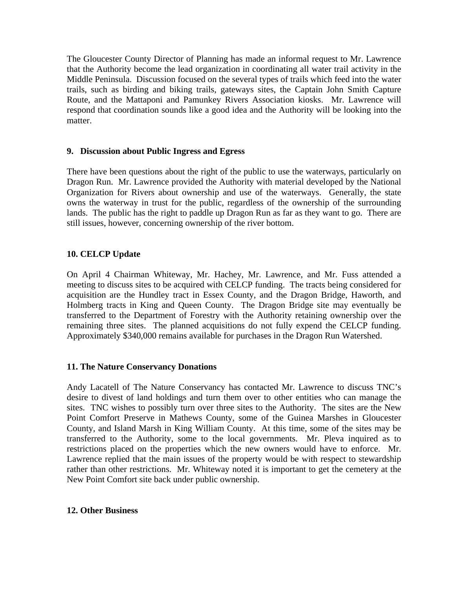The Gloucester County Director of Planning has made an informal request to Mr. Lawrence that the Authority become the lead organization in coordinating all water trail activity in the Middle Peninsula. Discussion focused on the several types of trails which feed into the water trails, such as birding and biking trails, gateways sites, the Captain John Smith Capture Route, and the Mattaponi and Pamunkey Rivers Association kiosks. Mr. Lawrence will respond that coordination sounds like a good idea and the Authority will be looking into the matter.

### **9. Discussion about Public Ingress and Egress**

There have been questions about the right of the public to use the waterways, particularly on Dragon Run. Mr. Lawrence provided the Authority with material developed by the National Organization for Rivers about ownership and use of the waterways. Generally, the state owns the waterway in trust for the public, regardless of the ownership of the surrounding lands. The public has the right to paddle up Dragon Run as far as they want to go. There are still issues, however, concerning ownership of the river bottom.

## **10. CELCP Update**

On April 4 Chairman Whiteway, Mr. Hachey, Mr. Lawrence, and Mr. Fuss attended a meeting to discuss sites to be acquired with CELCP funding. The tracts being considered for acquisition are the Hundley tract in Essex County, and the Dragon Bridge, Haworth, and Holmberg tracts in King and Queen County. The Dragon Bridge site may eventually be transferred to the Department of Forestry with the Authority retaining ownership over the remaining three sites. The planned acquisitions do not fully expend the CELCP funding. Approximately \$340,000 remains available for purchases in the Dragon Run Watershed.

### **11. The Nature Conservancy Donations**

Andy Lacatell of The Nature Conservancy has contacted Mr. Lawrence to discuss TNC's desire to divest of land holdings and turn them over to other entities who can manage the sites. TNC wishes to possibly turn over three sites to the Authority. The sites are the New Point Comfort Preserve in Mathews County, some of the Guinea Marshes in Gloucester County, and Island Marsh in King William County. At this time, some of the sites may be transferred to the Authority, some to the local governments. Mr. Pleva inquired as to restrictions placed on the properties which the new owners would have to enforce. Mr. Lawrence replied that the main issues of the property would be with respect to stewardship rather than other restrictions. Mr. Whiteway noted it is important to get the cemetery at the New Point Comfort site back under public ownership.

### **12. Other Business**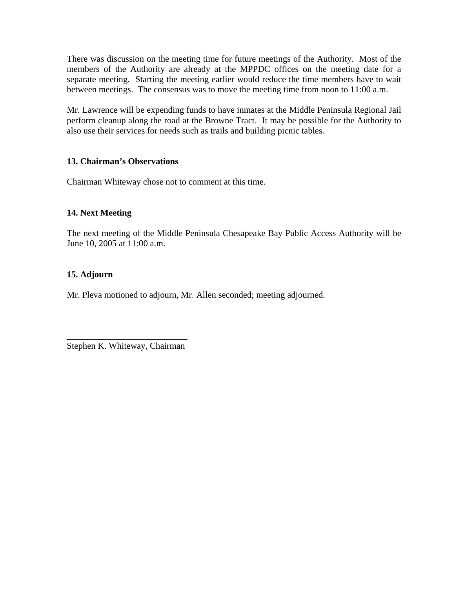There was discussion on the meeting time for future meetings of the Authority. Most of the members of the Authority are already at the MPPDC offices on the meeting date for a separate meeting. Starting the meeting earlier would reduce the time members have to wait between meetings. The consensus was to move the meeting time from noon to 11:00 a.m.

Mr. Lawrence will be expending funds to have inmates at the Middle Peninsula Regional Jail perform cleanup along the road at the Browne Tract. It may be possible for the Authority to also use their services for needs such as trails and building picnic tables.

### **13. Chairman's Observations**

Chairman Whiteway chose not to comment at this time.

### **14. Next Meeting**

The next meeting of the Middle Peninsula Chesapeake Bay Public Access Authority will be June 10, 2005 at 11:00 a.m.

### **15. Adjourn**

Mr. Pleva motioned to adjourn, Mr. Allen seconded; meeting adjourned.

Stephen K. Whiteway, Chairman